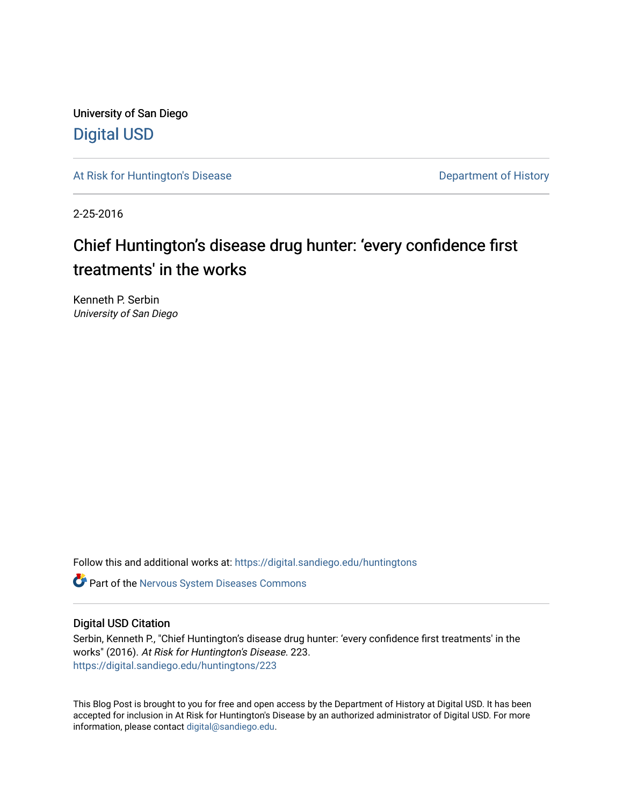University of San Diego [Digital USD](https://digital.sandiego.edu/)

[At Risk for Huntington's Disease](https://digital.sandiego.edu/huntingtons) **Department of History** Department of History

2-25-2016

# Chief Huntington's disease drug hunter: 'every confidence first treatments' in the works

Kenneth P. Serbin University of San Diego

Follow this and additional works at: [https://digital.sandiego.edu/huntingtons](https://digital.sandiego.edu/huntingtons?utm_source=digital.sandiego.edu%2Fhuntingtons%2F223&utm_medium=PDF&utm_campaign=PDFCoverPages)

**C** Part of the [Nervous System Diseases Commons](http://network.bepress.com/hgg/discipline/928?utm_source=digital.sandiego.edu%2Fhuntingtons%2F223&utm_medium=PDF&utm_campaign=PDFCoverPages)

# Digital USD Citation

Serbin, Kenneth P., "Chief Huntington's disease drug hunter: 'every confidence first treatments' in the works" (2016). At Risk for Huntington's Disease. 223. [https://digital.sandiego.edu/huntingtons/223](https://digital.sandiego.edu/huntingtons/223?utm_source=digital.sandiego.edu%2Fhuntingtons%2F223&utm_medium=PDF&utm_campaign=PDFCoverPages)

This Blog Post is brought to you for free and open access by the Department of History at Digital USD. It has been accepted for inclusion in At Risk for Huntington's Disease by an authorized administrator of Digital USD. For more information, please contact [digital@sandiego.edu.](mailto:digital@sandiego.edu)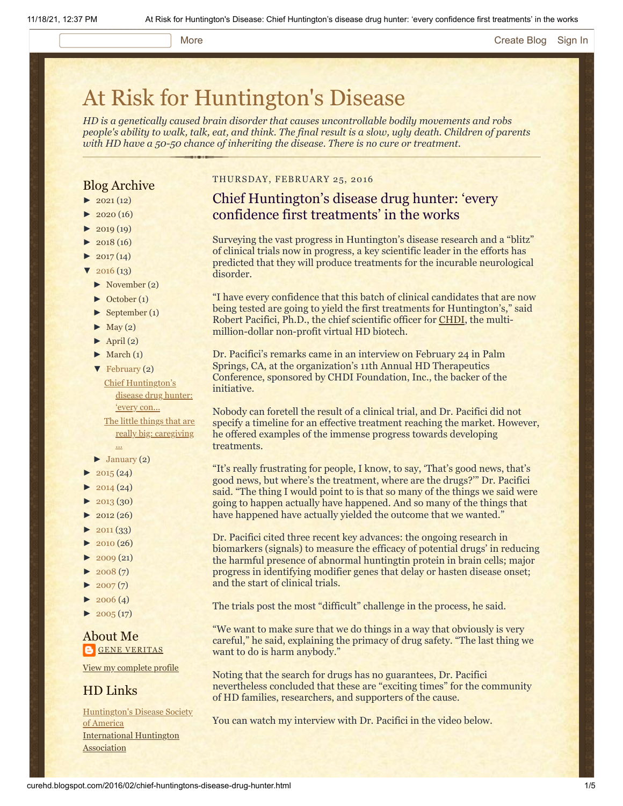## More **[Create Blog](https://www.blogger.com/home#create) [Sign In](https://www.blogger.com/)**

# [At Risk for Huntington's Disease](http://curehd.blogspot.com/)

*HD is a genetically caused brain disorder that causes uncontrollable bodily movements and robs people's ability to walk, talk, eat, and think. The final result is a slow, ugly death. Children of parents with HD have a 50-50 chance of inheriting the disease. There is no cure or treatment.*

# Blog Archive

- $\blacktriangleright$  [2021](http://curehd.blogspot.com/2021/)(12)
- $2020(16)$  $2020(16)$
- $2019(19)$  $2019(19)$
- $\blacktriangleright$  [2018](http://curehd.blogspot.com/2018/) (16)
- $2017(14)$  $2017(14)$
- $2016(13)$  $2016(13)$
- [►](javascript:void(0)) [November](http://curehd.blogspot.com/2016/11/) (2)
- [►](javascript:void(0)) [October](http://curehd.blogspot.com/2016/10/) (1)
- [►](javascript:void(0)) [September](http://curehd.blogspot.com/2016/09/) (1)
- $\blacktriangleright$  [May](http://curehd.blogspot.com/2016/05/) (2)
- $\blacktriangleright$  [April](http://curehd.blogspot.com/2016/04/) (2)
- $\blacktriangleright$  [March](http://curehd.blogspot.com/2016/03/) (1)
- [▼](javascript:void(0)) [February](http://curehd.blogspot.com/2016/02/) (2) Chief [Huntington's](http://curehd.blogspot.com/2016/02/chief-huntingtons-disease-drug-hunter.html) disease drug hunter:

'every con... The little things that are really big: [caregiving](http://curehd.blogspot.com/2016/02/the-little-things-that-are-really-big.html)

- ...  $\blacktriangleright$  [January](http://curehd.blogspot.com/2016/01/) (2)
- $2015(24)$  $2015(24)$
- $2014(24)$  $2014(24)$
- $\blacktriangleright$  [2013](http://curehd.blogspot.com/2013/) (30)
- $\blacktriangleright$  [2012](http://curehd.blogspot.com/2012/) (26)
- $\blacktriangleright$  [2011](http://curehd.blogspot.com/2011/) (33)
- [►](javascript:void(0)) [2010](http://curehd.blogspot.com/2010/) (26)
- $\blacktriangleright$  [2009](http://curehd.blogspot.com/2009/) (21)
- $\blacktriangleright$  [2008](http://curehd.blogspot.com/2008/) $(7)$
- $\blacktriangleright$  [2007](http://curehd.blogspot.com/2007/) $(7)$
- $\blacktriangleright$  [2006](http://curehd.blogspot.com/2006/) (4)
- $\blacktriangleright$  [2005](http://curehd.blogspot.com/2005/) (17)

# About Me **GENE [VERITAS](https://www.blogger.com/profile/10911736205741688185)**

View my [complete](https://www.blogger.com/profile/10911736205741688185) profile

# HD Links

[Huntington's](http://www.hdsa.org/) Disease Society of America [International](http://www.huntington-assoc.com/) Huntington **Association** 

### THURSDAY, FEBRUARY 25, 2016

# Chief Huntington's disease drug hunter: 'every confidence first treatments' in the works

Surveying the vast progress in Huntington's disease research and a "blitz" of clinical trials now in progress, a key scientific leader in the efforts has predicted that they will produce treatments for the incurable neurological disorder.

"I have every confidence that this batch of clinical candidates that are now being tested are going to yield the first treatments for Huntington's," said Robert Pacifici, Ph.D., the chief scientific officer for [CHDI,](http://chdifoundation.org/) the multimillion-dollar non-profit virtual HD biotech.

Dr. Pacifici's remarks came in an interview on February 24 in Palm Springs, CA, at the organization's 11th Annual HD Therapeutics Conference, sponsored by CHDI Foundation, Inc., the backer of the initiative.

Nobody can foretell the result of a clinical trial, and Dr. Pacifici did not specify a timeline for an effective treatment reaching the market. However, he offered examples of the immense progress towards developing treatments.

"It's really frustrating for people, I know, to say, 'That's good news, that's good news, but where's the treatment, where are the drugs?'" Dr. Pacifici said. "The thing I would point to is that so many of the things we said were going to happen actually have happened. And so many of the things that have happened have actually yielded the outcome that we wanted."

Dr. Pacifici cited three recent key advances: the ongoing research in biomarkers (signals) to measure the efficacy of potential drugs' in reducing the harmful presence of abnormal huntingtin protein in brain cells; major progress in identifying modifier genes that delay or hasten disease onset; and the start of clinical trials.

The trials post the most "difficult" challenge in the process, he said.

"We want to make sure that we do things in a way that obviously is very careful," he said, explaining the primacy of drug safety. "The last thing we want to do is harm anybody."

Noting that the search for drugs has no guarantees, Dr. Pacifici nevertheless concluded that these are "exciting times" for the community of HD families, researchers, and supporters of the cause.

You can watch my interview with Dr. Pacifici in the video below.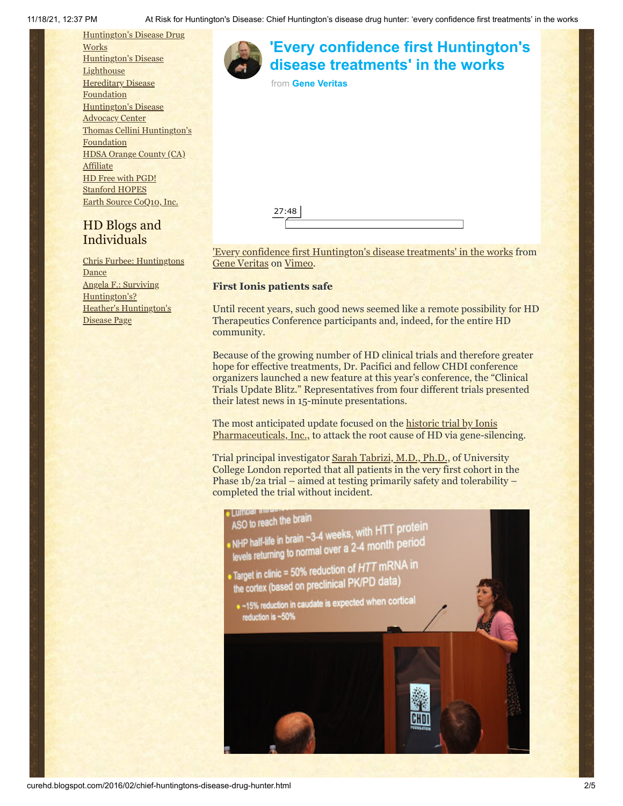

# HD Blogs and Individuals

Chris Furbee: [Huntingtons](http://www.huntingtonsdance.org/) **Dance** Angela F.: Surviving [Huntington's?](http://survivinghuntingtons.blogspot.com/) Heather's [Huntington's](http://heatherdugdale.angelfire.com/) Disease Page

| 'Every confidence first Huntington's<br>disease treatments' in the works |  |
|--------------------------------------------------------------------------|--|
| from Gene Veritas                                                        |  |
|                                                                          |  |
|                                                                          |  |
| 27:48                                                                    |  |

['Every confidence first Huntington's disease treatments' in the works](https://vimeo.com/156653073) from [Gene Veritas](https://vimeo.com/user6019843) on [Vimeo.](https://vimeo.com/)

## **First Ionis patients safe**

Until recent years, such good news seemed like a remote possibility for HD Therapeutics Conference participants and, indeed, for the entire HD community.

Because of the growing number of HD clinical trials and therefore greater hope for effective treatments, Dr. Pacifici and fellow CHDI conference organizers launched a new feature at this year's conference, the "Clinical Trials Update Blitz." Representatives from four different trials presented their latest news in 15-minute presentations.

The most [anticipated update focused on the historic trial by Ionis](http://www.curehd.blogspot.com/2014/09/moving-toward-potential-treatment-isis.html) Pharmaceuticals, Inc., to attack the root cause of HD via gene-silencing.

Trial principal investigator [Sarah Tabrizi, M.D., Ph.D.,](http://hdresearch.ucl.ac.uk/) of University College London reported that all patients in the very first cohort in the Phase 1b/2a trial – aimed at testing primarily safety and tolerability – completed the trial without incident.

## **TIMOSI TIME** ASO to reach the brain

ASO to reach the brain<br>NHP half-life in brain ~3-4 weeks, with HTT protein<br>NHP half-life in pormal over a 2-4 month period NHP half-life in brain  $\sim$ 3-4 weeks, which is period<br>levels returning to normal over a 2-4 month period

- Target in clinic = 50% reduction of  $HTT$  mRNA in
- the cortex (based on preclinical PK/PD data)
- . ~15% reduction in caudate is expected when cortical reduction is ~50%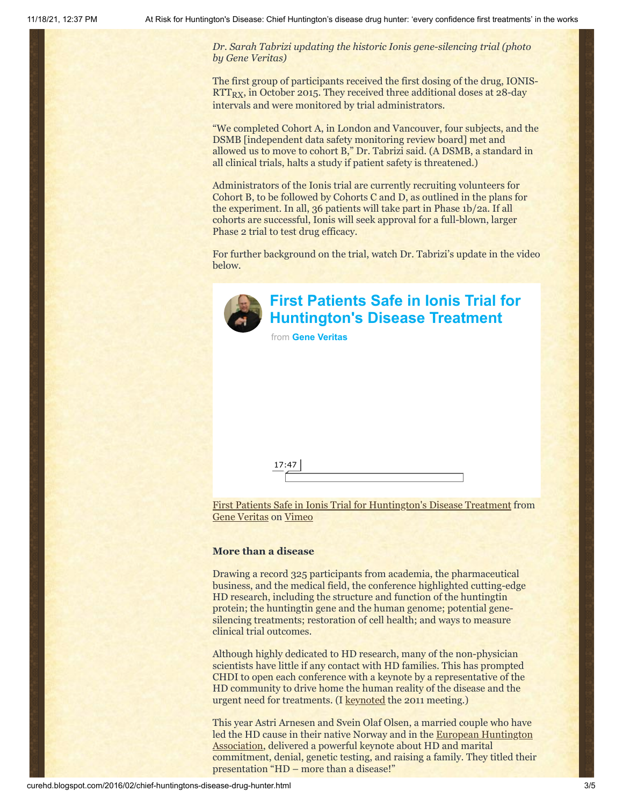*Dr. Sarah Tabrizi updating the historic Ionis gene-silencing trial (photo by Gene Veritas)*

The first group of participants received the first dosing of the drug, IONIS- $RTT_{RX}$ , in October 2015. They received three additional doses at 28-day intervals and were monitored by trial administrators.

"We completed Cohort A, in London and Vancouver, four subjects, and the DSMB [independent data safety monitoring review board] met and allowed us to move to cohort B," Dr. Tabrizi said. (A DSMB, a standard in all clinical trials, halts a study if patient safety is threatened.)

Administrators of the Ionis trial are currently recruiting volunteers for Cohort B, to be followed by Cohorts C and D, as outlined in the plans for the experiment. In all, 36 patients will take part in Phase 1b/2a. If all cohorts are successful, Ionis will seek approval for a full-blown, larger Phase 2 trial to test drug efficacy.

For further background on the trial, watch Dr. Tabrizi's update in the video below.



# **[First Patients Safe in Ionis Trial for](https://vimeo.com/156656844?embedded=true&source=video_title&owner=6019843) Huntington's Disease Treatment**

from **[Gene Veritas](https://vimeo.com/user6019843?embedded=true&source=owner_name&owner=6019843)**

[First Patients Safe in Ionis Trial for Huntington's Disease Treatment](https://vimeo.com/156656844) from [Gene Veritas](https://vimeo.com/user6019843) on [Vimeo](https://vimeo.com/)

# **More than a disease**

17:47

Drawing a record 325 participants from academia, the pharmaceutical business, and the medical field, the conference highlighted cutting-edge HD research, including the structure and function of the huntingtin protein; the huntingtin gene and the human genome; potential genesilencing treatments; restoration of cell health; and ways to measure clinical trial outcomes.

Although highly dedicated to HD research, many of the non-physician scientists have little if any contact with HD families. This has prompted CHDI to open each conference with a keynote by a representative of the HD community to drive home the human reality of the disease and the urgent need for treatments. (I [keynoted](http://www.curehd.blogspot.com/2011/02/unmasking-gene-veritas-huntingtons.html) the 2011 meeting.)

This year Astri Arnesen and Svein Olaf Olsen, a married couple who have led the HD cause in [their native Norway and in the European Huntington](http://eurohuntington.org/) Association, delivered a powerful keynote about HD and marital commitment, denial, genetic testing, and raising a family. They titled their presentation "HD – more than a disease!"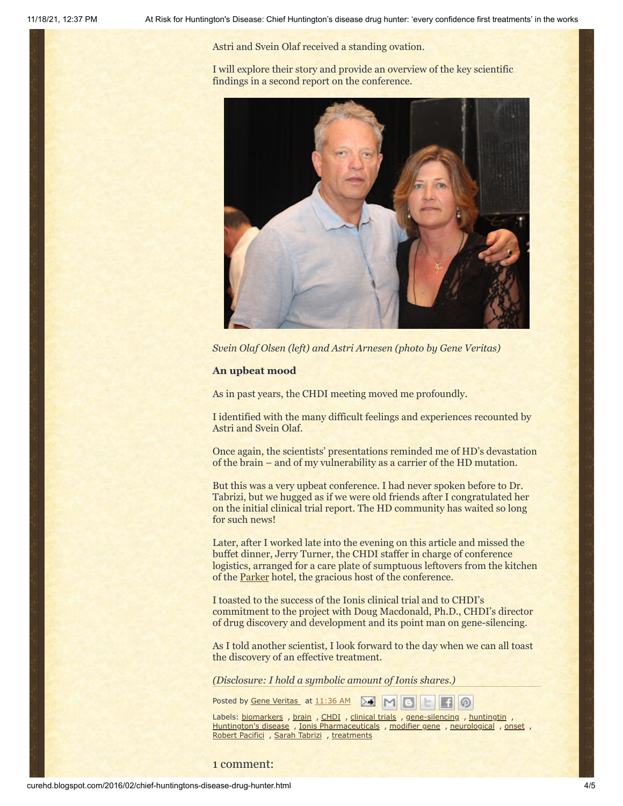Astri and Svein Olaf received a standing ovation.

I will explore their story and provide an overview of the key scientific findings in a second report on the conference.



*Svein Olaf Olsen (left) and Astri Arnesen (photo by Gene Veritas)*

### **An upbeat mood**

As in past years, the CHDI meeting moved me profoundly.

I identified with the many difficult feelings and experiences recounted by Astri and Svein Olaf.

Once again, the scientists' presentations reminded me of HD's devastation of the brain – and of my vulnerability as a carrier of the HD mutation.

But this was a very upbeat conference. I had never spoken before to Dr. Tabrizi, but we hugged as if we were old friends after I congratulated her on the initial clinical trial report. The HD community has waited so long for such news!

Later, after I worked late into the evening on this article and missed the buffet dinner, Jerry Turner, the CHDI staffer in charge of conference logistics, arranged for a care plate of sumptuous leftovers from the kitchen of the [Parker](http://www.theparkerpalmsprings.com/index.php) hotel, the gracious host of the conference.

I toasted to the success of the Ionis clinical trial and to CHDI's commitment to the project with Doug Macdonald, Ph.D., CHDI's director of drug discovery and development and its point man on gene-silencing.

As I told another scientist, I look forward to the day when we can all toast the discovery of an effective treatment.

*(Disclosure: I hold a symbolic amount of Ionis shares.)*

Posted by Gene [Veritas](https://www.blogger.com/profile/03599828959793084715) at [11:36](http://curehd.blogspot.com/2016/02/chief-huntingtons-disease-drug-hunter.html) AM MIH

Labels: [biomarkers](http://curehd.blogspot.com/search/label/biomarkers) , [brain](http://curehd.blogspot.com/search/label/brain) , [CHDI](http://curehd.blogspot.com/search/label/CHDI) , [clinical](http://curehd.blogspot.com/search/label/clinical%20trials) trials , [gene-silencing](http://curehd.blogspot.com/search/label/gene-silencing) , [huntingtin](http://curehd.blogspot.com/search/label/huntingtin) , [Huntington's](http://curehd.blogspot.com/search/label/Huntington%27s%20disease) disease , Ionis [Pharmaceuticals](http://curehd.blogspot.com/search/label/Ionis%20Pharmaceuticals) , [modifier](http://curehd.blogspot.com/search/label/modifier%20gene) gene , [neurological](http://curehd.blogspot.com/search/label/neurological) , [onset](http://curehd.blogspot.com/search/label/onset) , Robert [Pacifici](http://curehd.blogspot.com/search/label/Robert%20Pacifici) , Sarah [Tabrizi](http://curehd.blogspot.com/search/label/Sarah%20Tabrizi) , [treatments](http://curehd.blogspot.com/search/label/treatments)

(റ)

1 comment: